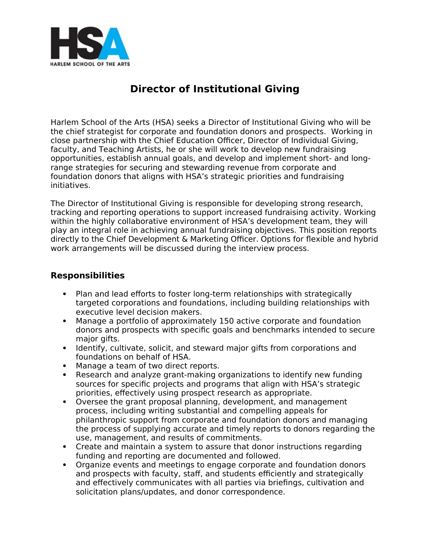

# **Director of Institutional Giving**

Harlem School of the Arts (HSA) seeks a Director of Institutional Giving who will be the chief strategist for corporate and foundation donors and prospects. Working in close partnership with the Chief Education Officer, Director of Individual Giving, faculty, and Teaching Artists, he or she will work to develop new fundraising opportunities, establish annual goals, and develop and implement short- and longrange strategies for securing and stewarding revenue from corporate and foundation donors that aligns with HSA's strategic priorities and fundraising initiatives.

The Director of Institutional Giving is responsible for developing strong research, tracking and reporting operations to support increased fundraising activity. Working within the highly collaborative environment of HSA's development team, they will play an integral role in achieving annual fundraising objectives. This position reports directly to the Chief Development & Marketing Officer. Options for flexible and hybrid work arrangements will be discussed during the interview process.

## **Responsibilities**

- Plan and lead efforts to foster long-term relationships with strategically targeted corporations and foundations, including building relationships with executive level decision makers.
- Manage a portfolio of approximately 150 active corporate and foundation donors and prospects with specific goals and benchmarks intended to secure major gifts.
- Identify, cultivate, solicit, and steward major gifts from corporations and foundations on behalf of HSA.
- Manage a team of two direct reports.
- Research and analyze grant-making organizations to identify new funding sources for specific projects and programs that align with HSA's strategic priorities, effectively using prospect research as appropriate.
- Oversee the grant proposal planning, development, and management process, including writing substantial and compelling appeals for philanthropic support from corporate and foundation donors and managing the process of supplying accurate and timely reports to donors regarding the use, management, and results of commitments.
- Create and maintain a system to assure that donor instructions regarding funding and reporting are documented and followed.
- Organize events and meetings to engage corporate and foundation donors and prospects with faculty, staff, and students efficiently and strategically and effectively communicates with all parties via briefings, cultivation and solicitation plans/updates, and donor correspondence.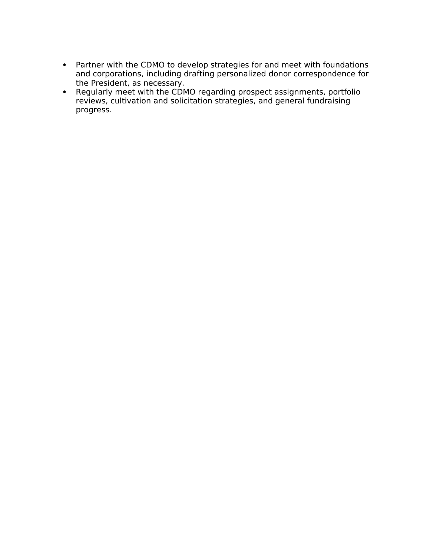- Partner with the CDMO to develop strategies for and meet with foundations and corporations, including drafting personalized donor correspondence for the President, as necessary.
- Regularly meet with the CDMO regarding prospect assignments, portfolio reviews, cultivation and solicitation strategies, and general fundraising progress.